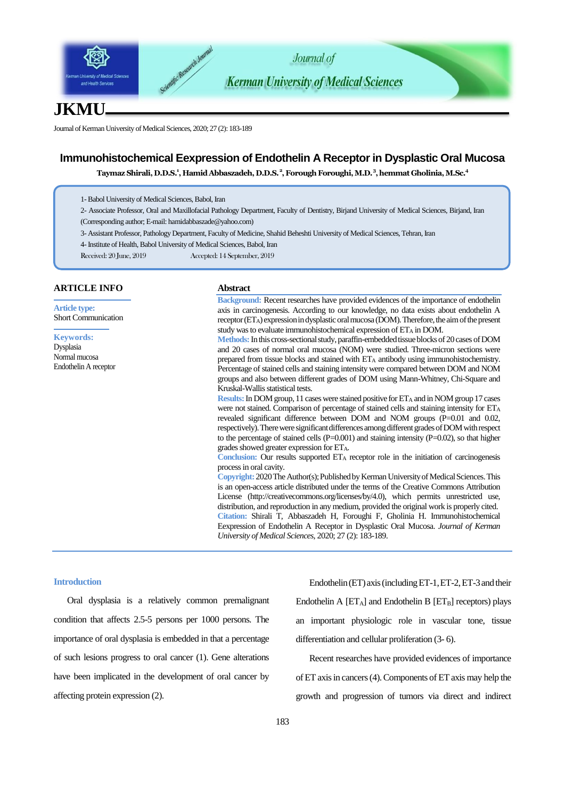

# **JKMU**

Journal of Kerman University of Medical Sciences, 2020; 27 (2): 183-189

# **Immunohistochemical Eexpression of Endothelin A Receptor in Dysplastic Oral Mucosa**

**Taymaz Shirali, D.D.S.<sup>1</sup> , Hamid Abbaszadeh, D.D.S.<sup>2</sup> , Forough Foroughi, M.D.<sup>3</sup> , hemmat Gholinia, M.Sc.<sup>4</sup>**

- 1-Babol University of Medical Sciences, Babol, Iran
- 2- Associate Professor, Oral and Maxillofacial Pathology Department, Faculty of Dentistry, Birjand University of Medical Sciences, Birjand, Iran (Corresponding author; E-mai[l: hamidabbaszade@yahoo.com](mailto:hamidabbaszade@yahoo.com))
- 3- Assistant Professor, Pathology Department, Faculty of Medicine, Shahid Beheshti University of Medical Sciences, Tehran, Iran
- 4-Institute of Health, Babol University of Medical Sciences, Babol, Iran
- Received: 20 June, 2019 Accepted: 14 September, 2019

## **ARTICLE INFO**

**Article type:** Short Communication

**Keywords:** Dysplasia Normal mucosa Endothelin A receptor

#### **Abstract**

**Background:** Recent researches have provided evidences of the importance of endothelin axis in carcinogenesis. According to our knowledge, no data exists about endothelin A receptor (ETA) expression in dysplastic oral mucosa (DOM). Therefore, the aim of the present study was to evaluate immunohistochemical expression of ET<sup>A</sup> in DOM.

**Methods:**In this cross-sectional study, paraffin-embedded tissue blocks of 20 cases of DOM and 20 cases of normal oral mucosa (NOM) were studied. Three-micron sections were prepared from tissue blocks and stained with ET<sup>A</sup> antibody using immunohistochemistry. Percentage of stained cells and staining intensity were compared between DOM and NOM groups and also between different grades of DOM using Mann-Whitney, Chi-Square and Kruskal-Wallis statistical tests.

**Results:** In DOM group, 11 cases were stained positive for ETA and in NOM group 17 cases were not stained. Comparison of percentage of stained cells and staining intensity for ETA revealed significant difference between DOM and NOM groups (P=0.01 and 0.02, respectively). There were significant differences among different grades of DOM with respect to the percentage of stained cells  $(P=0.001)$  and staining intensity  $(P=0.02)$ , so that higher grades showed greater expression for ETA.

**Conclusion:** Our results supported ET<sup>A</sup> receptor role in the initiation of carcinogenesis process in oral cavity.

**Copyright:** 2020The Author(s); Published by Kerman University of Medical Sciences. This is an open-access article distributed under the terms of the Creative Commons Attribution License (http://creativecommons.org/licenses/by/4.0), which permits unrestricted use, distribution, and reproduction in any medium, provided the original work is properly cited. **Citation:** Shirali T, Abbaszadeh H, Foroughi F, Gholinia H. Immunohistochemical Eexpression of Endothelin A Receptor in Dysplastic Oral Mucosa. *Journal of Kerman University of Medical Sciences*, 2020; 27 (2): 183-189.

#### **Introduction**

Oral dysplasia is a relatively common premalignant condition that affects 2.5-5 persons per 1000 persons. The importance of oral dysplasia is embedded in that a percentage of such lesions progress to oral cancer (1). Gene alterations have been implicated in the development of oral cancer by affecting protein expression (2).

Endothelin (ET) axis (including ET-1, ET-2, ET-3 and their Endothelin A  $[ET_A]$  and Endothelin B  $[ET_B]$  receptors) plays an important physiologic role in vascular tone, tissue differentiation and cellular proliferation (3- 6).

Recent researches have provided evidences of importance of ET axis in cancers (4). Components of ET axis may help the growth and progression of tumors via direct and indirect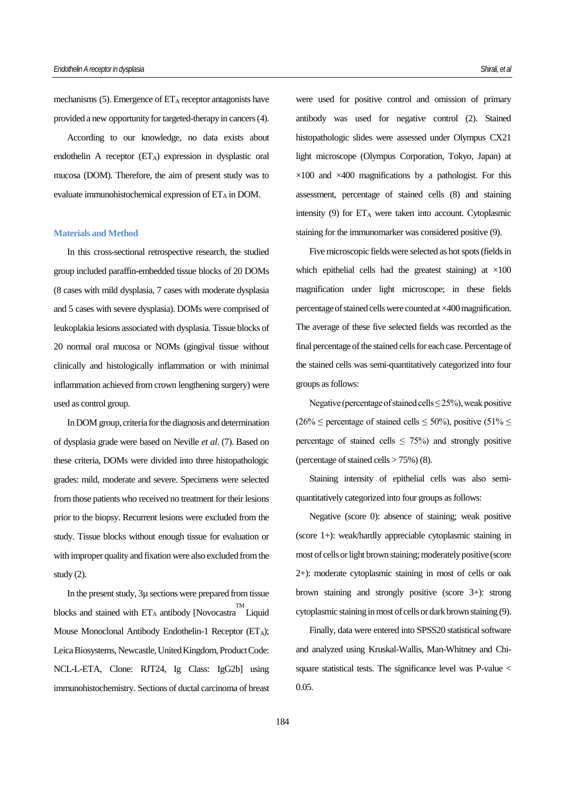mechanisms  $(5)$ . Emergence of  $ET_A$  receptor antagonists have provided a new opportunity for targeted-therapy in cancers (4).

According to our knowledge, no data exists about endothelin A receptor  $(ET_A)$  expression in dysplastic oral mucosa (DOM). Therefore, the aim of present study was to evaluate immunohistochemical expression of  $ET_A$  in DOM.

#### **Materials and Method**

In this cross-sectional retrospective research, the studied group included paraffin-embedded tissue blocks of 20 DOMs (8 cases with mild dysplasia, 7 cases with moderate dysplasia and 5 cases with severe dysplasia). DOMs were comprised of leukoplakia lesions associated with dysplasia. Tissue blocks of 20 normal oral mucosa or NOMs (gingival tissue without clinically and histologically inflammation or with minimal inflammation achieved from crown lengthening surgery) were used as control group.

In DOM group, criteria for the diagnosis and determination of dysplasia grade were based on Neville *et al*. (7). Based on these criteria, DOMs were divided into three histopathologic grades: mild, moderate and severe. Specimens were selected from those patients who received no treatment for their lesions prior to the biopsy. Recurrent lesions were excluded from the study. Tissue blocks without enough tissue for evaluation or with improper quality and fixation were also excluded from the study (2).

In the present study, 3µ sections were prepared from tissue blocks and stained with  $ET_A$  antibody [Novocastra Liquid Mouse Monoclonal Antibody Endothelin-1 Receptor (ETA); Leica Biosystems, Newcastle, United Kingdom, Product Code: NCL-L-ETA, Clone: RJT24, Ig Class: IgG2b] using immunohistochemistry. Sections of ductal carcinoma of breast

were used for positive control and omission of primary antibody was used for negative control (2). Stained histopathologic slides were assessed under Olympus CX21 light microscope (Olympus Corporation, Tokyo, Japan) at  $\times$ 100 and  $\times$ 400 magnifications by a pathologist. For this assessment, percentage of stained cells (8) and staining intensity  $(9)$  for  $ET_A$  were taken into account. Cytoplasmic staining for the immunomarker was considered positive (9).

Five microscopic fields were selected as hot spots (fields in which epithelial cells had the greatest staining) at  $\times 100$ magnification under light microscope; in these fields percentage of stained cells were counted at ×400 magnification. The average of these five selected fields was recorded as the final percentage of the stained cells for each case. Percentage of the stained cells was semi-quantitatively categorized into four groups as follows:

Negative (percentage of stained cells  $\leq$  25%), weak positive  $(26\% \leq \text{percentage of stained cells} \leq 50\%)$ , positive  $(51\% \leq \text{Hence} \leq \text{Hence} \leq \text{Hence} \leq \text{Hence} \leq \text{Hence} \leq \text{Hence} \leq \text{Hence} \leq \text{Hence} \leq \text{Hence} \leq \text{Hence} \leq \text{Hence} \leq \text{Hence} \leq \text{Hence} \leq \text{Hence} \leq \text{Hence} \leq \text{Hence} \leq \text{Hence} \leq \text{Hence} \leq \text{Hence} \leq \text{H$ percentage of stained cells  $\leq$  75%) and strongly positive (percentage of stained cells  $> 75\%$ ) (8).

Staining intensity of epithelial cells was also semiquantitatively categorized into four groups as follows:

Negative (score 0): absence of staining; weak positive (score 1+): weak/hardly appreciable cytoplasmic staining in most of cells or light brown staining; moderately positive (score 2+): moderate cytoplasmic staining in most of cells or oak brown staining and strongly positive (score 3+): strong cytoplasmic staining in most of cells or dark brown staining (9).

Finally, data were entered into SPSS20 statistical software and analyzed using Kruskal-Wallis, Man-Whitney and Chisquare statistical tests. The significance level was P-value < 0.05.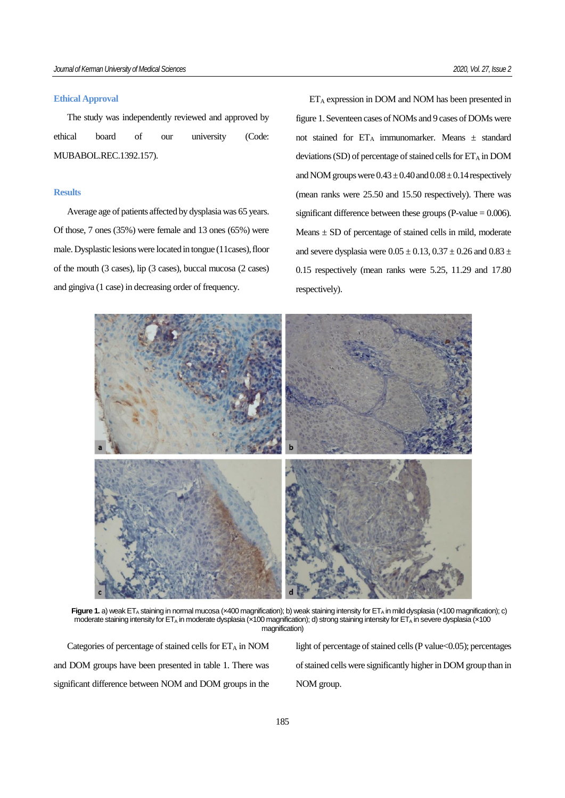### **Ethical Approval**

The study was independently reviewed and approved by ethical board of our university (Code: MUBABOL.REC.1392.157).

#### **Results**

Average age of patients affected by dysplasia was 65 years. Of those, 7 ones (35%) were female and 13 ones (65%) were male. Dysplastic lesions were located in tongue (11cases), floor of the mouth (3 cases), lip (3 cases), buccal mucosa (2 cases) and gingiva (1 case) in decreasing order of frequency.

 $ET_A$  expression in DOM and NOM has been presented in figure 1. Seventeen cases of NOMs and 9 cases of DOMs were not stained for  $ET_A$  immunomarker. Means  $\pm$  standard deviations (SD) of percentage of stained cells for  $ET_A$  in DOM and NOM groups were  $0.43 \pm 0.40$  and  $0.08 \pm 0.14$  respectively (mean ranks were 25.50 and 15.50 respectively). There was significant difference between these groups (P-value  $= 0.006$ ). Means  $\pm$  SD of percentage of stained cells in mild, moderate and severe dysplasia were  $0.05 \pm 0.13$ ,  $0.37 \pm 0.26$  and  $0.83 \pm 0.26$ 0.15 respectively (mean ranks were 5.25, 11.29 and 17.80 respectively).



Figure 1. a) weak ET<sub>A</sub> staining in normal mucosa (x400 magnification); b) weak staining intensity for ET<sub>A</sub> in mild dysplasia (x100 magnification); c) moderate staining intensity for ET<sub>A</sub> in moderate dysplasia (×100 magnification); d) strong staining intensity for ET<sub>A</sub> in severe dysplasia (×100 magnification)

Categories of percentage of stained cells for  $ET_A$  in NOM and DOM groups have been presented in table 1. There was significant difference between NOM and DOM groups in the light of percentage of stained cells (P value<0.05); percentages of stained cells were significantly higher in DOM group than in NOM group.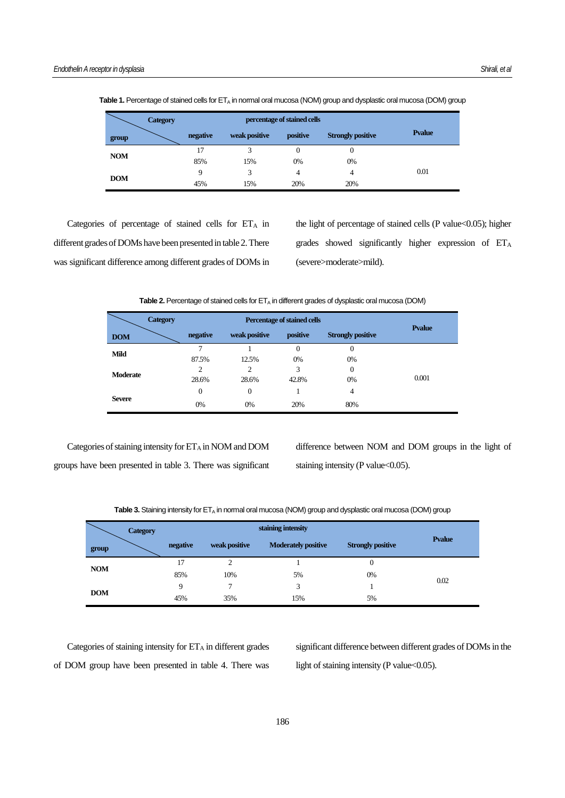|            | <b>Category</b> | percentage of stained cells |               |          |                          |                |  |
|------------|-----------------|-----------------------------|---------------|----------|--------------------------|----------------|--|
| group      |                 | negative                    | weak positive | positive | <b>Strongly positive</b> | <b>P</b> value |  |
| <b>NOM</b> |                 | 17                          | 3             | 0        | 0                        |                |  |
|            |                 | 85%                         | 15%           | 0%       | 0%                       |                |  |
| <b>DOM</b> |                 | Q                           | 3             | 4        | 4                        | 0.01           |  |
|            |                 | 45%                         | 15%           | 20%      | 20%                      |                |  |

Table 1. Percentage of stained cells for ET<sub>A</sub> in normal oral mucosa (NOM) group and dysplastic oral mucosa (DOM) group

Categories of percentage of stained cells for  $ET_A$  in different grades of DOMs have been presented in table 2. There was significant difference among different grades of DOMs in the light of percentage of stained cells (P value<0.05); higher grades showed significantly higher expression of ET<sup>A</sup> (severe>moderate>mild).

Table 2. Percentage of stained cells for ET<sub>A</sub> in different grades of dysplastic oral mucosa (DOM)

| <b>Category</b> | Percentage of stained cells |                |          |                          |                |
|-----------------|-----------------------------|----------------|----------|--------------------------|----------------|
| <b>DOM</b>      | negative                    | weak positive  | positive | <b>Strongly positive</b> | <b>P</b> value |
| <b>Mild</b>     | 7                           |                | 0        | 0                        |                |
|                 | 87.5%                       | 12.5%          | 0%       | 0%                       |                |
| <b>Moderate</b> | 2                           | $\overline{c}$ | 3        | 0                        |                |
|                 | 28.6%                       | 28.6%          | 42.8%    | 0%                       | 0.001          |
|                 | $\overline{0}$              | $\theta$       |          | 4                        |                |
| <b>Severe</b>   | 0%                          | 0%             | 20%      | 80%                      |                |

Categories of staining intensity for  $ET_A$  in NOM and DOM groups have been presented in table 3. There was significant difference between NOM and DOM groups in the light of staining intensity (P value $<$ 0.05).

Table 3. Staining intensity for ET<sub>A</sub> in normal oral mucosa (NOM) group and dysplastic oral mucosa (DOM) group

| <b>Category</b> |          |               | staining intensity         |                          |               |  |
|-----------------|----------|---------------|----------------------------|--------------------------|---------------|--|
| group           | negative | weak positive | <b>Moderately positive</b> | <b>Strongly positive</b> | <b>Pyalue</b> |  |
| <b>NOM</b>      | 17       |               |                            | $\overline{0}$           |               |  |
|                 | 85%      | 10%           | 5%                         | 0%                       |               |  |
|                 | 9        | ⇁             | 3                          |                          | 0.02          |  |
| <b>DOM</b>      | 45%      | 35%           | 15%                        | 5%                       |               |  |

Categories of staining intensity for  $ET_A$  in different grades of DOM group have been presented in table 4. There was significant difference between different grades of DOMs in the light of staining intensity (P value<0.05).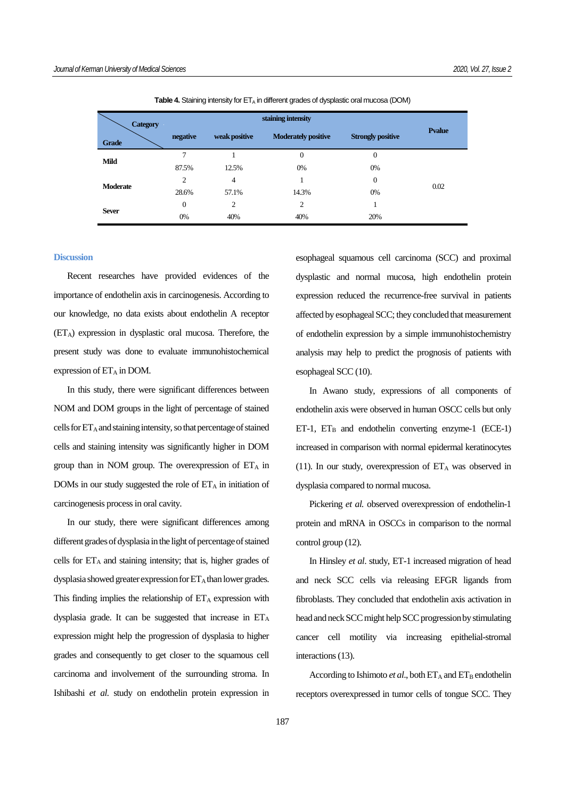| <b>Category</b> |                |                |                            |                          |        |
|-----------------|----------------|----------------|----------------------------|--------------------------|--------|
| <b>Grade</b>    | negative       | weak positive  | <b>Moderately positive</b> | <b>Strongly positive</b> | Pvalue |
|                 | 7              |                | $\theta$                   | $\mathbf{0}$             |        |
| Mild            | 87.5%          | 12.5%          | 0%                         | 0%                       |        |
|                 | $\overline{c}$ | 4              |                            | $\mathbf{0}$             |        |
| <b>Moderate</b> | 28.6%          | 57.1%          | 14.3%                      | 0%                       | 0.02   |
|                 | $\mathbf{0}$   | $\overline{c}$ | $\overline{2}$             |                          |        |
| <b>Sever</b>    | 0%             | 40%            | 40%                        | 20%                      |        |

**Table 4.** Staining intensity for ET<sub>A</sub> in different grades of dysplastic oral mucosa (DOM)

#### **Discussion**

Recent researches have provided evidences of the importance of endothelin axis in carcinogenesis. According to our knowledge, no data exists about endothelin A receptor  $(ET_A)$  expression in dysplastic oral mucosa. Therefore, the present study was done to evaluate immunohistochemical expression of  $ET_A$  in DOM.

In this study, there were significant differences between NOM and DOM groups in the light of percentage of stained cells for  $ET_A$  and staining intensity, so that percentage of stained cells and staining intensity was significantly higher in DOM group than in NOM group. The overexpression of  $ET_A$  in DOMs in our study suggested the role of  $ET_A$  in initiation of carcinogenesis process in oral cavity.

In our study, there were significant differences among different grades of dysplasia in the light of percentage of stained cells for  $ET_A$  and staining intensity; that is, higher grades of dysplasia showed greater expression for  $ET_A$  than lower grades. This finding implies the relationship of  $ET_A$  expression with dysplasia grade. It can be suggested that increase in ET<sup>A</sup> expression might help the progression of dysplasia to higher grades and consequently to get closer to the squamous cell carcinoma and involvement of the surrounding stroma. In Ishibashi *et al.* study on endothelin protein expression in esophageal squamous cell carcinoma (SCC) and proximal dysplastic and normal mucosa, high endothelin protein expression reduced the recurrence-free survival in patients affected by esophageal SCC; they concluded that measurement of endothelin expression by a simple immunohistochemistry analysis may help to predict the prognosis of patients with esophageal SCC (10).

In Awano study, expressions of all components of endothelin axis were observed in human OSCC cells but only  $ET-1$ ,  $ET_B$  and endothelin converting enzyme-1 (ECE-1) increased in comparison with normal epidermal keratinocytes (11). In our study, overexpression of  $ET_A$  was observed in dysplasia compared to normal mucosa.

Pickering *et al.* observed overexpression of endothelin-1 protein and mRNA in OSCCs in comparison to the normal control group (12).

In Hinsley *et al*. study, ET-1 increased migration of head and neck SCC cells via releasing EFGR ligands from fibroblasts. They concluded that endothelin axis activation in head and neck SCC might help SCC progression by stimulating cancer cell motility via increasing epithelial-stromal interactions (13).

According to Ishimoto *et al.*, both  $ET_A$  and  $ET_B$  endothelin receptors overexpressed in tumor cells of tongue SCC. They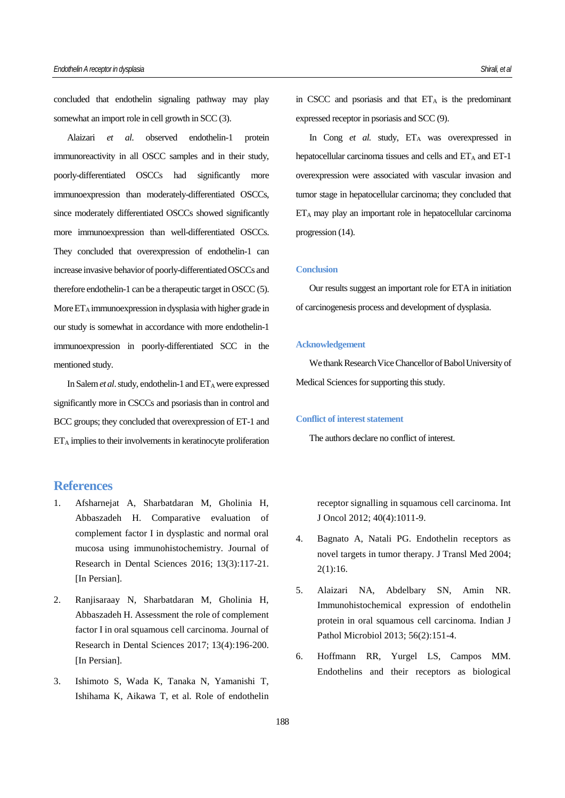concluded that endothelin signaling pathway may play somewhat an import role in cell growth in SCC (3).

Alaizari *et al*. observed endothelin-1 protein immunoreactivity in all OSCC samples and in their study, poorly-differentiated OSCCs had significantly more immunoexpression than moderately-differentiated OSCCs, since moderately differentiated OSCCs showed significantly more immunoexpression than well-differentiated OSCCs. They concluded that overexpression of endothelin-1 can increase invasive behavior of poorly-differentiated OSCCs and therefore endothelin-1 can be a therapeutic target in OSCC (5). More  $ET_A$  immunoexpression in dysplasia with higher grade in our study is somewhat in accordance with more endothelin-1 immunoexpression in poorly-differentiated SCC in the mentioned study.

In Salem *et al.* study, endothelin-1 and ET<sub>A</sub> were expressed significantly more in CSCCs and psoriasis than in control and BCC groups; they concluded that overexpression of ET-1 and  $ET_A$  implies to their involvements in keratinocyte proliferation

# **References**

- 1. Afsharnejat A, Sharbatdaran M, Gholinia H, Abbaszadeh H. Comparative evaluation of complement factor I in dysplastic and normal oral mucosa using immunohistochemistry. Journal of Research in Dental Sciences 2016; 13(3):117-21. [In Persian].
- 2. Ranjisaraay N, Sharbatdaran M, Gholinia H, Abbaszadeh H. Assessment the role of complement factor I in oral squamous cell carcinoma. Journal of Research in Dental Sciences 2017; 13(4):196-200. [In Persian].
- 3. Ishimoto S, Wada K, Tanaka N, Yamanishi T, Ishihama K, Aikawa T, et al. Role of endothelin

in CSCC and psoriasis and that  $ET_A$  is the predominant expressed receptor in psoriasis and SCC (9).

In Cong *et al.* study, ETA was overexpressed in hepatocellular carcinoma tissues and cells and ETA and ET-1 overexpression were associated with vascular invasion and tumor stage in hepatocellular carcinoma; they concluded that ET<sup>A</sup> may play an important role in hepatocellular carcinoma progression (14).

### **Conclusion**

Our results suggest an important role for ETA in initiation of carcinogenesis process and development of dysplasia.

#### **Acknowledgement**

We thank Research Vice Chancellor of Babol University of Medical Sciences for supporting this study.

## **Conflict of interest statement**

The authors declare no conflict of interest.

receptor signalling in squamous cell carcinoma. Int J Oncol 2012; 40(4):1011-9.

- 4. Bagnato A, Natali PG. Endothelin receptors as novel targets in tumor therapy. J Transl Med 2004; 2(1):16.
- 5. Alaizari NA, Abdelbary SN, Amin NR. Immunohistochemical expression of endothelin protein in oral squamous cell carcinoma. Indian J Pathol Microbiol 2013; 56(2):151-4.
- 6. Hoffmann RR, Yurgel LS, Campos MM. Endothelins and their receptors as biological